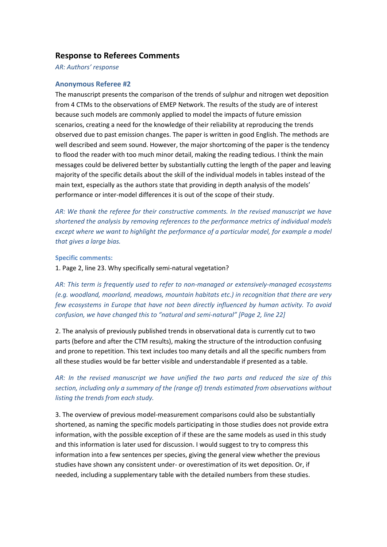## **Response to Referees Comments**

*AR: Authors' response*

### **Anonymous Referee #2**

The manuscript presents the comparison of the trends of sulphur and nitrogen wet deposition from 4 CTMs to the observations of EMEP Network. The results of the study are of interest because such models are commonly applied to model the impacts of future emission scenarios, creating a need for the knowledge of their reliability at reproducing the trends observed due to past emission changes. The paper is written in good English. The methods are well described and seem sound. However, the major shortcoming of the paper is the tendency to flood the reader with too much minor detail, making the reading tedious. I think the main messages could be delivered better by substantially cutting the length of the paper and leaving majority of the specific details about the skill of the individual models in tables instead of the main text, especially as the authors state that providing in depth analysis of the models' performance or inter-model differences it is out of the scope of their study.

*AR: We thank the referee for their constructive comments. In the revised manuscript we have shortened the analysis by removing references to the performance metrics of individual models except where we want to highlight the performance of a particular model, for example a model that gives a large bias.*

### **Specific comments:**

1. Page 2, line 23. Why specifically semi-natural vegetation?

*AR: This term is frequently used to refer to non-managed or extensively-managed ecosystems (e.g. woodland, moorland, meadows, mountain habitats etc.) in recognition that there are very few ecosystems in Europe that have not been directly influenced by human activity. To avoid confusion, we have changed this to "natural and semi-natural" [Page 2, line 22]*

2. The analysis of previously published trends in observational data is currently cut to two parts (before and after the CTM results), making the structure of the introduction confusing and prone to repetition. This text includes too many details and all the specific numbers from all these studies would be far better visible and understandable if presented as a table.

# *AR: In the revised manuscript we have unified the two parts and reduced the size of this section, including only a summary of the (range of) trends estimated from observations without listing the trends from each study.*

3. The overview of previous model-measurement comparisons could also be substantially shortened, as naming the specific models participating in those studies does not provide extra information, with the possible exception of if these are the same models as used in this study and this information is later used for discussion. I would suggest to try to compress this information into a few sentences per species, giving the general view whether the previous studies have shown any consistent under- or overestimation of its wet deposition. Or, if needed, including a supplementary table with the detailed numbers from these studies.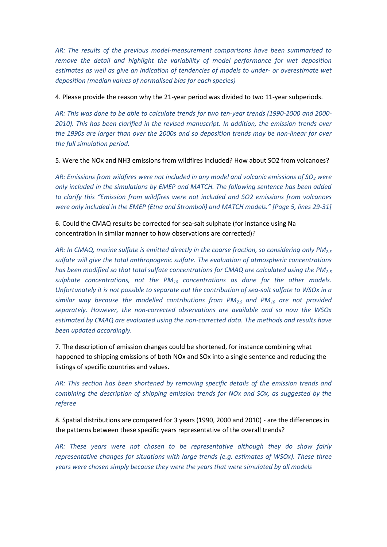*AR: The results of the previous model-measurement comparisons have been summarised to remove the detail and highlight the variability of model performance for wet deposition estimates as well as give an indication of tendencies of models to under- or overestimate wet deposition (median values of normalised bias for each species)*

4. Please provide the reason why the 21-year period was divided to two 11-year subperiods.

*AR: This was done to be able to calculate trends for two ten-year trends (1990-2000 and 2000- 2010). This has been clarified in the revised manuscript. In addition, the emission trends over the 1990s are larger than over the 2000s and so deposition trends may be non-linear for over the full simulation period.*

5. Were the NOx and NH3 emissions from wildfires included? How about SO2 from volcanoes?

*AR: Emissions from wildfires were not included in any model and volcanic emissions of SO<sup>2</sup> were only included in the simulations by EMEP and MATCH. The following sentence has been added to clarify this "Emission from wildfires were not included and SO2 emissions from volcanoes were only included in the EMEP (Etna and Stromboli) and MATCH models." [Page 5, lines 29-31]*

6. Could the CMAQ results be corrected for sea-salt sulphate (for instance using Na concentration in similar manner to how observations are corrected)?

*AR: In CMAQ, marine sulfate is emitted directly in the coarse fraction, so considering only PM2.5 sulfate will give the total anthropogenic sulfate. The evaluation of atmospheric concentrations has been modified so that total sulfate concentrations for CMAQ are calculated using the PM2.5 sulphate concentrations, not the PM<sup>10</sup> concentrations as done for the other models. Unfortunately it is not possible to separate out the contribution of sea-salt sulfate to WSOx in a similar way because the modelled contributions from PM2.5 and PM<sup>10</sup> are not provided separately. However, the non-corrected observations are available and so now the WSOx estimated by CMAQ are evaluated using the non-corrected data. The methods and results have been updated accordingly.* 

7. The description of emission changes could be shortened, for instance combining what happened to shipping emissions of both NOx and SOx into a single sentence and reducing the listings of specific countries and values.

*AR: This section has been shortened by removing specific details of the emission trends and combining the description of shipping emission trends for NOx and SOx, as suggested by the referee*

8. Spatial distributions are compared for 3 years (1990, 2000 and 2010) - are the differences in the patterns between these specific years representative of the overall trends?

*AR: These years were not chosen to be representative although they do show fairly representative changes for situations with large trends (e.g. estimates of WSOx). These three years were chosen simply because they were the years that were simulated by all models*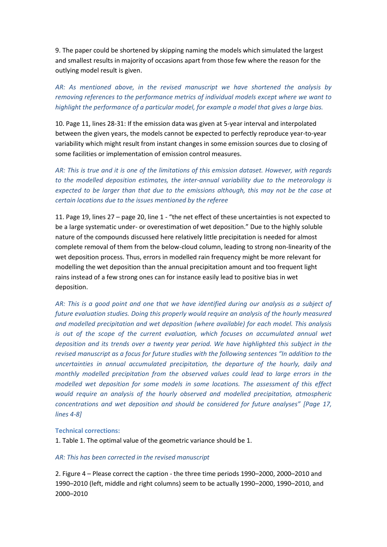9. The paper could be shortened by skipping naming the models which simulated the largest and smallest results in majority of occasions apart from those few where the reason for the outlying model result is given.

*AR: As mentioned above, in the revised manuscript we have shortened the analysis by removing references to the performance metrics of individual models except where we want to highlight the performance of a particular model, for example a model that gives a large bias.*

10. Page 11, lines 28-31: If the emission data was given at 5-year interval and interpolated between the given years, the models cannot be expected to perfectly reproduce year-to-year variability which might result from instant changes in some emission sources due to closing of some facilities or implementation of emission control measures.

*AR: This is true and it is one of the limitations of this emission dataset. However, with regards to the modelled deposition estimates, the inter-annual variability due to the meteorology is expected to be larger than that due to the emissions although, this may not be the case at certain locations due to the issues mentioned by the referee*

11. Page 19, lines 27 – page 20, line 1 - "the net effect of these uncertainties is not expected to be a large systematic under- or overestimation of wet deposition." Due to the highly soluble nature of the compounds discussed here relatively little precipitation is needed for almost complete removal of them from the below-cloud column, leading to strong non-linearity of the wet deposition process. Thus, errors in modelled rain frequency might be more relevant for modelling the wet deposition than the annual precipitation amount and too frequent light rains instead of a few strong ones can for instance easily lead to positive bias in wet deposition.

*AR: This is a good point and one that we have identified during our analysis as a subject of future evaluation studies. Doing this properly would require an analysis of the hourly measured and modelled precipitation and wet deposition (where available) for each model. This analysis*  is out of the scope of the current evaluation, which focuses on accumulated annual wet *deposition and its trends over a twenty year period. We have highlighted this subject in the revised manuscript as a focus for future studies with the following sentences "In addition to the uncertainties in annual accumulated precipitation, the departure of the hourly, daily and monthly modelled precipitation from the observed values could lead to large errors in the modelled wet deposition for some models in some locations. The assessment of this effect would require an analysis of the hourly observed and modelled precipitation, atmospheric concentrations and wet deposition and should be considered for future analyses" [Page 17, lines 4-8]*

### **Technical corrections:**

1. Table 1. The optimal value of the geometric variance should be 1.

### *AR: This has been corrected in the revised manuscript*

2. Figure 4 – Please correct the caption - the three time periods 1990–2000, 2000–2010 and 1990–2010 (left, middle and right columns) seem to be actually 1990–2000, 1990–2010, and 2000–2010